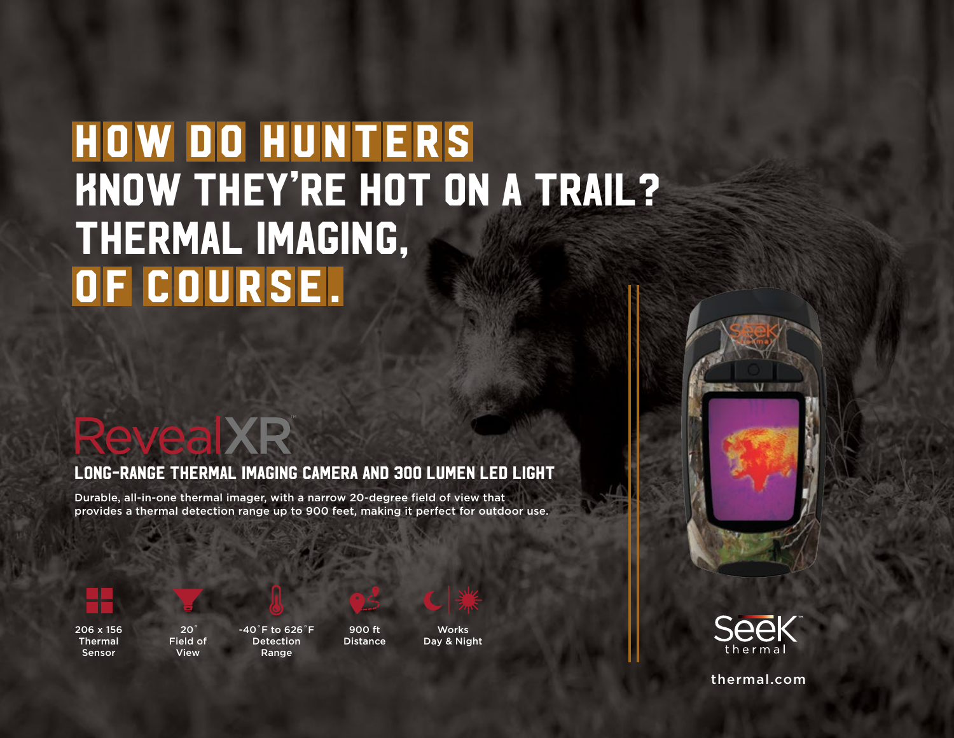# **HOW DO HUNTERS** know they're hot on a trail? thermal imaging, OF COURSE.

## **Revea** XR

#### Long-Range Thermal Imaging Camera and 300 Lumen LED Light

Durable, all-in-one thermal imager, with a narrow 20-degree field of view that provides a thermal detection range up to 900 feet, making it perfect for outdoor use.







 $20<sup>°</sup>$ Field of View



-40˚F to 626˚F Detection Range



**Works** Day & Night

900 ft **Distance** 





thermal.com